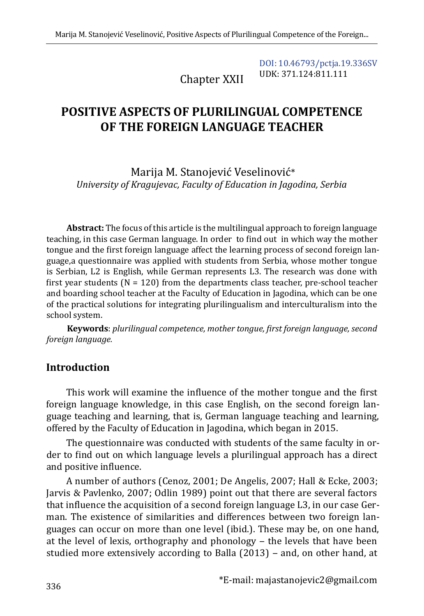Chapter XXII

[DOI: 10.46793/pctja.19.336SV](https://doi.org/10.46793/pctja.19.336SV) UDK: 371.124:811.111

# **POSITIVE ASPECTS OF PLURILINGUAL COMPETENCE OF THE FOREIGN LANGUAGE TEACHER**

Marija M. Stanojević Veselinović\* *University of Kragujevac, Faculty of Education in Jagodina, Serbia*

**Abstract:** The focus of this article is the multilingual approach to foreign language teaching, in this case German language. In order to find out in which way the mother tongue and the first foreign language affect the learning process of second foreign language,a questionnaire was applied with students from Serbia, whose mother tongue is Serbian, L2 is English, while German represents L3. The research was done with first year students  $(N = 120)$  from the departments class teacher, pre-school teacher and boarding school teacher at the Faculty of Education in Jagodina, which can be one of the practical solutions for integrating plurilingualism and interculturalism into the school system.

**Keywords**: *plurilingual competence, mother tongue, first foreign language, second foreign language.*

#### **Introduction**

This work will examine the influence of the mother tongue and the first foreign language knowledge, in this case English, on the second foreign language teaching and learning, that is, German language teaching and learning, offered by the Faculty of Education in Jagodina, which began in 2015.

The questionnaire was conducted with students of the same faculty in order to find out on which language levels a plurilingual approach has a direct and positive influence.

A number of authors (Cenoz, 2001; De Angelis, 2007; Hall & Ecke, 2003; Jarvis & Pavlenko, 2007; Odlin 1989) point out that there are several factors that influence the acquisition of a second foreign language L3, in our case German. The existence of similarities and differences between two foreign languages can occur on more than one level (ibid.). These may be, on one hand, at the level of lexis, orthography and phonology – the levels that have been studied more extensively according to Balla (2013) – and, on other hand, at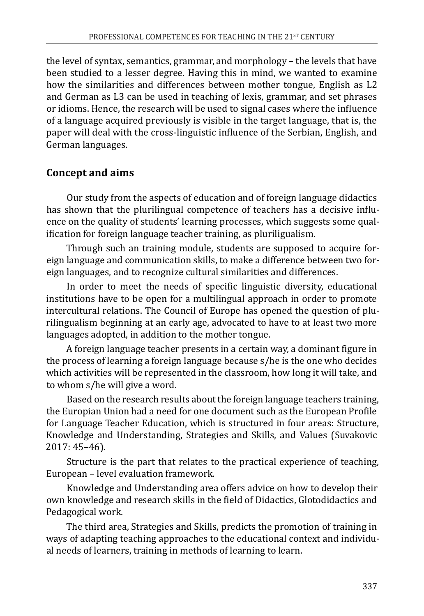the level of syntax, semantics, grammar, and morphology – the levels that have been studied to a lesser degree. Having this in mind, we wanted to examine how the similarities and differences between mother tongue, English as L2 and German as L3 can be used in teaching of lexis, grammar, and set phrases or idioms. Hence, the research will be used to signal cases where the influence of a language acquired previously is visible in the target language, that is, the paper will deal with the cross-linguistic influence of the Serbian, English, and German languages.

### **Concept and aims**

Our study from the aspects of education and of foreign language didactics has shown that the plurilingual competence of teachers has a decisive influence on the quality of students' learning processes, which suggests some qualification for foreign language teacher training, as pluriligualism.

Through such an training module, students are supposed to acquire foreign language and communication skills, to make a difference between two foreign languages, and to recognize cultural similarities and differences.

In order to meet the needs of specific linguistic diversity, educational institutions have to be open for a multilingual approach in order to promote intercultural relations. The Council of Europe has opened the question of plurilingualism beginning at an early age, advocated to have to at least two more languages adopted, in addition to the mother tongue.

A foreign language teacher presents in a certain way, a dominant figure in the process of learning a foreign language because s/he is the one who decides which activities will be represented in the classroom, how long it will take, and to whom s/he will give a word.

Based on the research results about the foreign language teachers training, the Europian Union had a need for one document such as the European Profile for Language Teacher Education, which is structured in four areas: Structure, Knowledge and Understanding, Strategies and Skills, and Values (Suvakovic 2017: 45–46).

Structure is the part that relates to the practical experience of teaching, European – level evaluation framework.

Knowledge and Understanding area offers advice on how to develop their own knowledge and research skills in the field of Didactics, Glotodidactics and Pedagogical work.

The third area, Strategies and Skills, predicts the promotion of training in ways of adapting teaching approaches to the educational context and individual needs of learners, training in methods of learning to learn.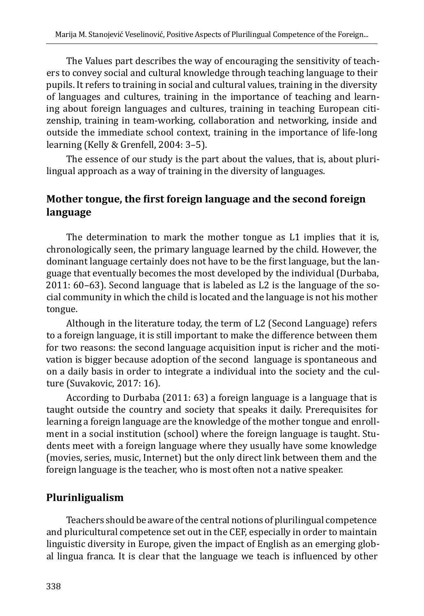The Values part describes the way of encouraging the sensitivity of teachers to convey social and cultural knowledge through teaching language to their pupils. It refers to training in social and cultural values, training in the diversity of languages and cultures, training in the importance of teaching and learning about foreign languages and cultures, training in teaching European citizenship, training in team-working, collaboration and networking, inside and outside the immediate school context, training in the importance of life-long learning (Kelly & Grenfell, 2004: 3–5).

The essence of our study is the part about the values, that is, about plurilingual approach as a way of training in the diversity of languages.

### **Mother tongue, the first foreign language and the second foreign language**

The determination to mark the mother tongue as L1 implies that it is, chronologically seen, the primary language learned by the child. However, the dominant language certainly does not have to be the first language, but the language that eventually becomes the most developed by the individual (Durbaba, 2011: 60–63). Second language that is labeled as L2 is the language of the social community in which the child is located and the language is not his mother tongue.

Although in the literature today, the term of L2 (Second Language) refers to a foreign language, it is still important to make the difference between them for two reasons: the second language acquisition input is richer and the motivation is bigger because adoption of the second language is spontaneous and on a daily basis in order to integrate a individual into the society and the culture (Suvakovic, 2017: 16).

According to Durbaba (2011: 63) a foreign language is a language that is taught outside the country and society that speaks it daily. Prerequisites for learning a foreign language are the knowledge of the mother tongue and enrollment in a social institution (school) where the foreign language is taught. Students meet with a foreign language where they usually have some knowledge (movies, series, music, Internet) but the only direct link between them and the foreign language is the teacher, who is most often not a native speaker.

## **Plurinligualism**

Teachers should be aware of the central notions of plurilingual competence and pluricultural competence set out in the CEF, especially in order to maintain linguistic diversity in Europe, given the impact of English as an emerging global lingua franca. It is clear that the language we teach is influenced by other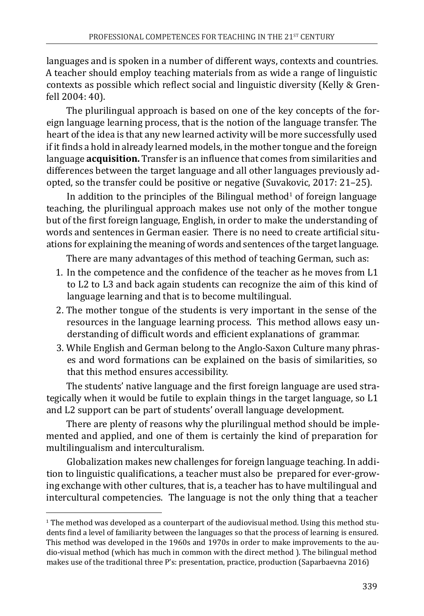languages and is spoken in a number of different ways, contexts and countries. A teacher should employ teaching materials from as wide a range of linguistic contexts as possible which reflect social and linguistic diversity (Kelly & Grenfell 2004: 40).

The plurilingual approach is based on one of the key concepts of the foreign language learning process, that is the notion of the language transfer. The heart of the idea is that any new learned activity will be more successfully used if it finds a hold in already learned models, in the mother tongue and the foreign language **acquisition.** Transfer is an influence that comes from similarities and differences between the target language and all other languages previously adopted, so the transfer could be positive or negative (Suvakovic, 2017: 21–25).

In addition to the principles of the Bilingual method $^1$  of foreign language [teaching,](https://en.wikipedia.org/wiki/Foreign_language_teaching) the plurilingual approach makes use not only of the mother tongue but of the first foreign language, English, in order to make the understanding of words and sentences in German easier. There is no need to create artificial situations for explaining the meaning of words and sentences of the target language.

There are many advantages of this method of teaching German, such as:

- 1. In the competence and the confidence of the teacher as he moves from L1 to L2 to L3 and back again students can recognize the aim of this kind of language learning and that is to become multilingual.
- 2. The mother tongue of the students is very important in the sense of the resources in the language learning process. This method allows easy understanding of difficult words and efficient explanations of grammar.
- 3. While English and German belong to the Anglo-Saxon Culture many phrases and word formations can be explained on the basis of similarities, so that this method ensures accessibility.

The students' native language and the first foreign language are used strategically when it would be futile to explain things in the target language, so L1 and L2 support can be part of students' overall language development.

There are plenty of reasons why the plurilingual method should be implemented and applied, and one of them is certainly the kind of preparation for multilingualism and interculturalism.

Globalization makes new challenges for foreign language teaching. In addition to linguistic qualifications, a teacher must also be prepared for ever-growing exchange with other cultures, that is, a teacher has to have multilingual and intercultural competencies. The language is not the only thing that a teacher

<sup>&</sup>lt;sup>1</sup> The method was developed as a counterpart of the [audiovisual method](https://en.wikipedia.org/w/index.php?title=Audiovisual_method&action=edit&redlink=1). Using this method students find a level of familiarity between the languages so that the process of learning is ensured. This method was developed in the 1960s and 1970s in order to make improvements to the audio-visual method (which has much in common with the direct method ). The bilingual method makes use of the traditional three P's: presentation, practice, production (Saparbaevna 2016)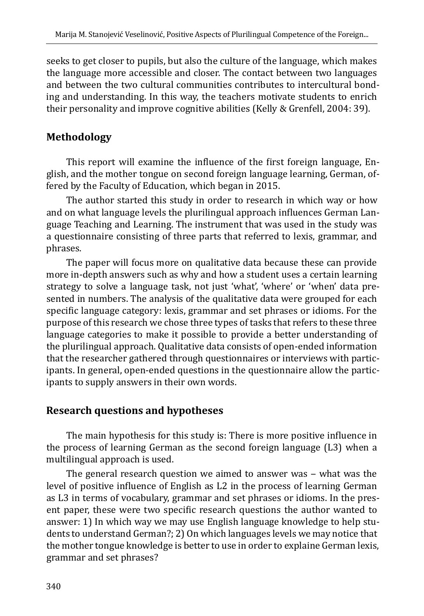seeks to get closer to pupils, but also the culture of the language, which makes the language more accessible and closer. The contact between two languages and between the two cultural communities contributes to intercultural bonding and understanding. In this way, the teachers motivate students to enrich their personality and improve cognitive abilities (Kelly & Grenfell, 2004: 39).

## **Methodology**

This report will examine the influence of the first foreign language, English, and the mother tongue on second foreign language learning, German, offered by the Faculty of Education, which began in 2015.

The author started this study in order to research in which way or how and on what language levels the plurilingual approach influences German Language Teaching and Learning. The instrument that was used in the study was a questionnaire consisting of three parts that referred to lexis, grammar, and phrases.

The paper will focus more on qualitative data because these can provide more in-depth answers such as why and how a student uses a certain learning strategy to solve a language task, not just 'what', 'where' or 'when' data presented in numbers. The analysis of the qualitative data were grouped for each specific language category: lexis, grammar and set phrases or idioms. For the purpose of this research we chose three types of tasks that refers to these three language categories to make it possible to provide a better understanding of the plurilingual approach. Qualitative data consists of open-ended information that the researcher gathered through questionnaires or interviews with participants. In general, open-ended questions in the questionnaire allow the participants to supply answers in their own words.

## **Research questions and hypotheses**

The main hypothesis for this study is: There is more positive influence in the process of learning German as the second foreign language (L3) when a multilingual approach is used.

The general research question we aimed to answer was  $-$  what was the level of positive influence of English as L2 in the process of learning German as L3 in terms of vocabulary, grammar and set phrases or idioms. In the present paper, these were two specific research questions the author wanted to answer: 1) In which way we may use English language knowledge to help students to understand German?; 2) On which languages levels we may notice that the mother tongue knowledge is better to use in order to explaine German lexis, grammar and set phrases?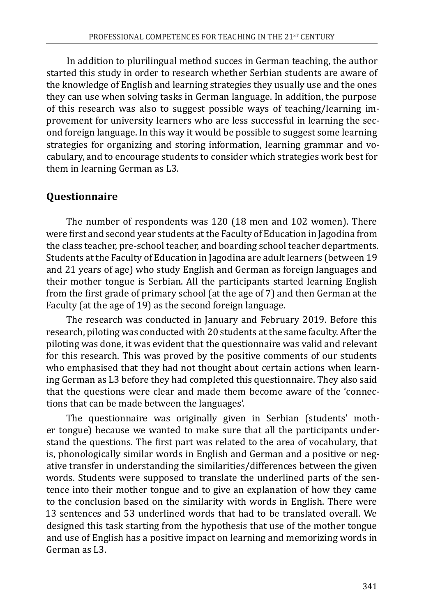In addition to plurilingual method succes in German teaching, the author started this study in order to research whether Serbian students are aware of the knowledge of English and learning strategies they usually use and the ones they can use when solving tasks in German language. In addition, the purpose of this research was also to suggest possible ways of teaching/learning improvement for university learners who are less successful in learning the second foreign language. In this way it would be possible to suggest some learning strategies for organizing and storing information, learning grammar and vocabulary, and to encourage students to consider which strategies work best for them in learning German as L3.

### **Questionnaire**

The number of respondents was 120 (18 men and 102 women). There were first and second year students at the Faculty of Education in Jagodina from the class teacher, pre-school teacher, and boarding school teacher departments. Students at the Faculty of Education in Jagodina are adult learners (between 19 and 21 years of age) who study English and German as foreign languages and their mother tongue is Serbian. All the participants started learning English from the first grade of primary school (at the age of 7) and then German at the Faculty (at the age of 19) as the second foreign language.

The research was conducted in January and February 2019. Before this research, piloting was conducted with 20 students at the same faculty. After the piloting was done, it was evident that the questionnaire was valid and relevant for this research. This was proved by the positive comments of our students who emphasised that they had not thought about certain actions when learning German as L3 before they had completed this questionnaire. They also said that the questions were clear and made them become aware of the 'connections that can be made between the languages'.

The questionnaire was originally given in Serbian (students' mother tongue) because we wanted to make sure that all the participants understand the questions. The first part was related to the area of vocabulary, that is, phonologically similar words in English and German and a positive or negative transfer in understanding the similarities/differences between the given words. Students were supposed to translate the underlined parts of the sentence into their mother tongue and to give an explanation of how they came to the conclusion based on the similarity with words in English. There were 13 sentences and 53 underlined words that had to be translated overall. We designed this task starting from the hypothesis that use of the mother tongue and use of English has a positive impact on learning and memorizing words in German as L3.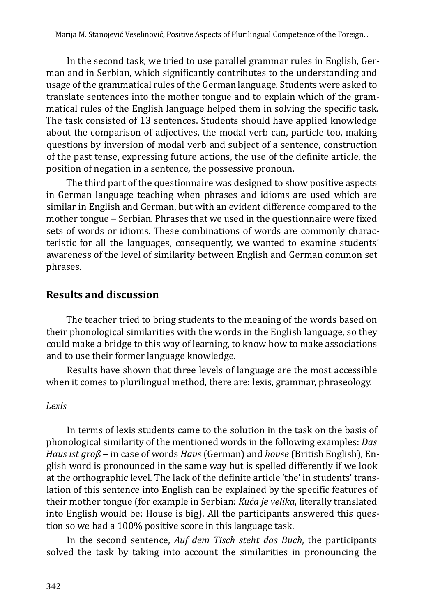In the second task, we tried to use parallel grammar rules in English, German and in Serbian, which significantly contributes to the understanding and usage of the grammatical rules of the German language. Students were asked to translate sentences into the mother tongue and to explain which of the grammatical rules of the English language helped them in solving the specific task. The task consisted of 13 sentences. Students should have applied knowledge about the comparison of adjectives, the modal verb can, particle too, making questions by inversion of modal verb and subject of a sentence, construction of the past tense, expressing future actions, the use of the definite article, the position of negation in a sentence, the possessive pronoun.

The third part of the questionnaire was designed to show positive aspects in German language teaching when phrases and idioms are used which are similar in English and German, but with an evident difference compared to the mother tongue – Serbian. Phrases that we used in the questionnaire were fixed sets of words or idioms. These combinations of words are commonly characteristic for all the languages, consequently, we wanted to examine students' awareness of the level of similarity between English and German common set phrases.

#### **Results and discussion**

The teacher tried to bring students to the meaning of the words based on their phonological similarities with the words in the English language, so they could make a bridge to this way of learning, to know how to make associations and to use their former language knowledge.

Results have shown that three levels of language are the most accessible when it comes to plurilingual method, there are: lexis, grammar, phraseology.

#### *Lexis*

In terms of lexis students came to the solution in the task on the basis of phonological similarity of the mentioned words in the following examples: *Das Haus ist groß* ‒ in case of words *Haus* (German) and *house* (British English), English word is pronounced in the same way but is spelled differently if we look at the orthographic level. The lack of the definite article 'the' in students' translation of this sentence into English can be explained by the specific features of their mother tongue (for example in Serbian: *Kuća je velika*, literally translated into English would be: House is big). All the participants answered this question so we had a 100% positive score in this language task.

In the second sentence, *Auf dem Tisch steht das Buch*, the participants solved the task by taking into account the similarities in pronouncing the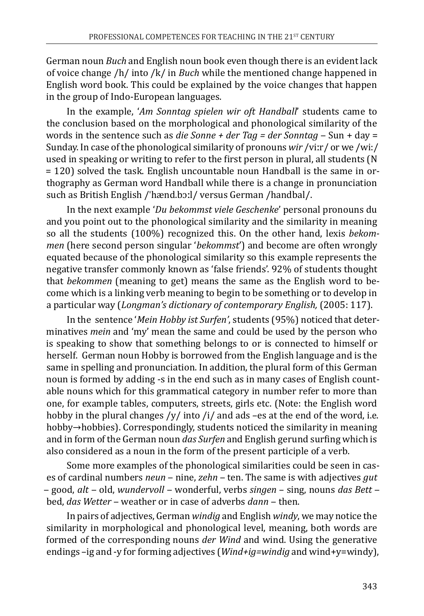German noun *Buch* and English noun book even though there is an evident lack of voice change /h/ into /k/ in *Buch* while the mentioned change happened in English word book. This could be explained by the voice changes that happen in the group of Indo-European languages.

In the example, '*Am Sonntag spielen wir oft Handball*' students came to the conclusion based on the morphological and phonological similarity of the words in the sentence such as *die Sonne + der Tag = der Sonntag* – Sun + day = Sunday. In case of the phonological similarity of pronouns *wir* /viːr/ or we /wi:/ used in speaking or writing to refer to the first person in plural, all students (N = 120) solved the task. English uncountable noun Handball is the same in orthography as German word Handball while there is a change in pronunciation such as British English /ˈhænd.bɔːl/ versus German /handbal/.

In the next example '*Du bekommst viele Geschenke*' personal pronouns du and you point out to the phonological similarity and the similarity in meaning so all the students (100%) recognized this. On the other hand, lexis *bekommen* (here second person singular '*bekommst*') and become are often wrongly equated because of the phonological similarity so this example represents the negative transfer commonly known as 'false friends'. 92% of students thought that *bekommen* (meaning to get) means the same as the English word to become which is a linking verb meaning to begin to be something or to develop in a particular way (*Longman's dictionary of contemporary English,* (2005: 117).

In the sentence '*Mein Hobby ist Surfen'*, students (95%) noticed that determinatives *mein* and 'my' mean the same and could be used by the person who is speaking to show that something belongs to or is connected to himself or herself. German noun Hobby is borrowed from the English language and is the same in spelling and pronunciation. In addition, the plural form of this German noun is formed by adding -s in the end such as in many cases of English countable nouns which for this grammatical category in number refer to more than one, for example tables, computers, streets, girls etc. (Note: the English word hobby in the plural changes /y/ into /i/ and ads -es at the end of the word, i.e. hobby→hobbies). Correspondingly, students noticed the similarity in meaning and in form of the German noun *das Surfen* and English gerund surfing which is also considered as a noun in the form of the present participle of a verb.

Some more examples of the phonological similarities could be seen in cases of cardinal numbers *neun* – nine, *zehn* – ten. The same is with adjectives *gut* ‒ good, *alt* ‒ old, *wundervoll* ‒ wonderful, verbs *singen* – sing, nouns *das Bett* ‒ bed, *das Wetter* – weather or in case of adverbs *dann* – then.

In pairs of adjectives, German *windig* and English *windy*, we may notice the similarity in morphological and phonological level, meaning, both words are formed of the corresponding nouns *der Wind* and wind. Using the generative endings –ig and -y for forming adjectives (*Wind+ig=windig* and wind+y=windy),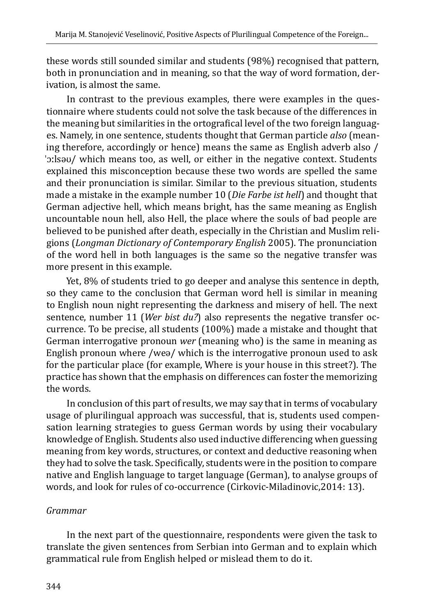these words still sounded similar and students (98%) recognised that pattern, both in pronunciation and in meaning, so that the way of word formation, derivation, is almost the same.

In contrast to the previous examples, there were examples in the questionnaire where students could not solve the task because of the differences in the meaning but similarities in the ortografical level of the two foreign languages. Namely, in one sentence, students thought that German particle *also* (meaning therefore, accordingly or hence) means the same as English adverb also / ˈɔːlsəʊ/ which means too, as well, or either in the negative context. Students explained this misconception because these two words are spelled the same and their pronunciation is similar. Similar to the previous situation, students made a mistake in the example number 10 (*Die Farbe ist hell*) and thought that German adjective hell, which means bright, has the same meaning as English uncountable noun hell, also Hell, the place where the souls of bad people are believed to be punished after death, especially in the Christian and Muslim religions (*Longman Dictionary of Contemporary English* 2005). The pronunciation of the word hell in both languages is the same so the negative transfer was more present in this example.

Yet, 8% of students tried to go deeper and analyse this sentence in depth, so they came to the conclusion that German word hell is similar in meaning to English noun night representing the darkness and misery of hell. The next sentence, number 11 (*Wer bist du?*) also represents the negative transfer occurrence. To be precise, all students (100%) made a mistake and thought that German interrogative pronoun *wer* (meaning who) is the same in meaning as English pronoun where /weə/ which is the interrogative pronoun used to ask for the particular place (for example, Where is your house in this street?). The practice has shown that the emphasis on differences can foster the memorizing the words.

In conclusion of this part of results, we may say that in terms of vocabulary usage of plurilingual approach was successful, that is, students used compensation learning strategies to guess German words by using their vocabulary knowledge of English. Students also used inductive differencing when guessing meaning from key words, structures, or context and deductive reasoning when they had to solve the task. Specifically, students were in the position to compare native and English language to target language (German), to analyse groups of words, and look for rules of co-occurrence (Cirkovic-Miladinovic,2014: 13).

#### *Grammar*

In the next part of the questionnaire, respondents were given the task to translate the given sentences from Serbian into German and to explain which grammatical rule from English helped or mislead them to do it.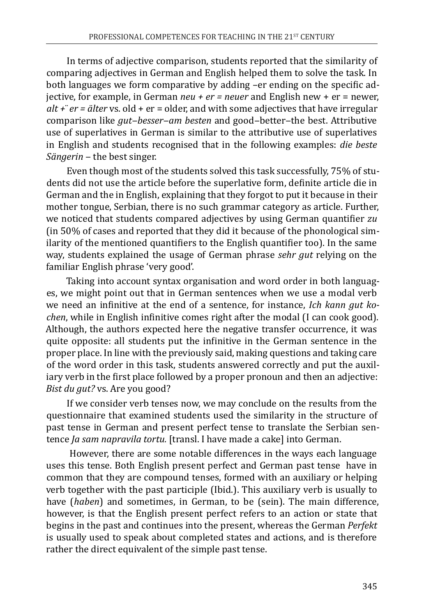In terms of adjective comparison, students reported that the similarity of comparing adjectives in German and English helped them to solve the task. In both languages we form comparative by adding –er ending on the specific adjective, for example, in German *neu + er = neuer* and English new + er = newer, *alt* + *er* = *älter* vs. old + er = older, and with some adjectives that have irregular comparison like *gut‒besser‒am besten* and good‒better‒the best. Attributive use of superlatives in German is similar to the attributive use of superlatives in English and students recognised that in the following examples: *die beste*  Sängerin – the best singer.

Even though most of the students solved this task successfully, 75% of students did not use the article before the superlative form, definite article die in German and the in English, explaining that they forgot to put it because in their mother tongue, Serbian, there is no such grammar category as article. Further, we noticed that students compared adjectives by using German quantifier *zu* (in 50% of cases and reported that they did it because of the phonological similarity of the mentioned quantifiers to the English quantifier too). In the same way, students explained the usage of German phrase *sehr gut* relying on the familiar English phrase 'very good'.

Taking into account syntax organisation and word order in both languages, we might point out that in German sentences when we use a modal verb we need an infinitive at the end of a sentence, for instance, *Ich kann gut kochen*, while in English infinitive comes right after the modal (I can cook good). Although, the authors expected here the negative transfer occurrence, it was quite opposite: all students put the infinitive in the German sentence in the proper place. In line with the previously said, making questions and taking care of the word order in this task, students answered correctly and put the auxiliary verb in the first place followed by a proper pronoun and then an adjective: *Bist du gut?* vs. Are you good?

If we consider verb tenses now, we may conclude on the results from the questionnaire that examined students used the similarity in the structure of past tense in German and present perfect tense to translate the Serbian sentence *Ja sam napravila tortu.* [transl. I have made a cake] into German.

 However, there are some notable differences in the ways each language uses this tense. Both English present perfect and German past tense have in common that they are compound tenses, formed with an auxiliary or helping verb together with the past participle (Ibid.). This auxiliary verb is usually to have (*haben*) and sometimes, in German, to be (sein). The main difference, however, is that the English present perfect refers to an action or state that begins in the past and continues into the present, whereas the German *Perfekt* is usually used to speak about completed states and actions, and is therefore rather the direct equivalent of the simple past tense.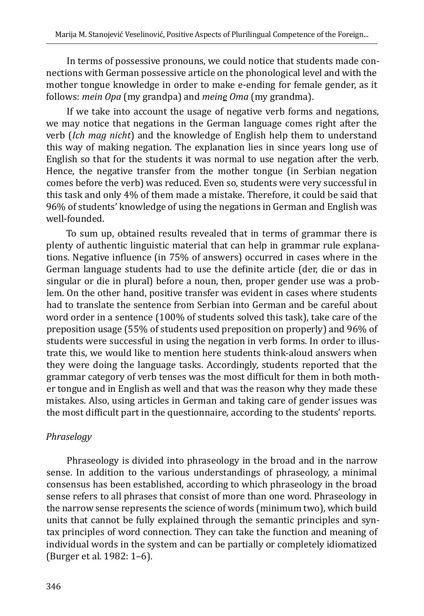In terms of possessive pronouns, we could notice that students made connections with German possessive article on the phonological level and with the mother tongue knowledge in order to make e-ending for female gender, as it follows: *mein Opa* (my grandpa) and *meine Oma* (my grandma).

If we take into account the usage of negative verb forms and negations, we may notice that negations in the German language comes right after the verb (*Ich mag nicht*) and the knowledge of English help them to understand this way of making negation. The explanation lies in since years long use of English so that for the students it was normal to use negation after the verb. Hence, the negative transfer from the mother tongue (in Serbian negation comes before the verb) was reduced. Even so, students were very successful in this task and only 4% of them made a mistake. Therefore, it could be said that 96% of students' knowledge of using the negations in German and English was well-founded.

To sum up, obtained results revealed that in terms of grammar there is plenty of authentic linguistic material that can help in grammar rule explanations. Negative influence (in 75% of answers) occurred in cases where in the German language students had to use the definite article (der, die or das in singular or die in plural) before a noun, then, proper gender use was a problem. On the other hand, positive transfer was evident in cases where students had to translate the sentence from Serbian into German and be careful about word order in a sentence (100% of students solved this task), take care of the preposition usage (55% of students used preposition on properly) and 96% of students were successful in using the negation in verb forms. In order to illustrate this, we would like to mention here students think-aloud answers when they were doing the language tasks. Accordingly, students reported that the grammar category of verb tenses was the most difficult for them in both mother tongue and in English as well and that was the reason why they made these mistakes. Also, using articles in German and taking care of gender issues was the most difficult part in the questionnaire, according to the students' reports.

#### *Phraselogy*

Phraseology is divided into phraseology in the broad and in the narrow sense. In addition to the various understandings of phraseology, a minimal consensus has been established, according to which phraseology in the broad sense refers to all phrases that consist of more than one word. Phraseology in the narrow sense represents the science of words (minimum two), which build units that cannot be fully explained through the semantic principles and syntax principles of word connection. They can take the function and meaning of individual words in the system and can be partially or completely idiomatized (Burger et al. 1982: 1–6).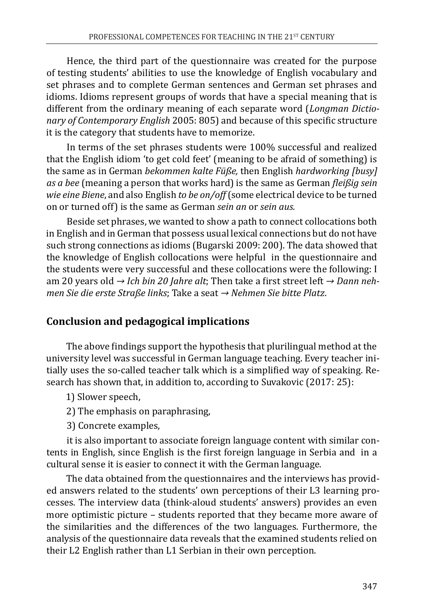Hence, the third part of the questionnaire was created for the purpose of testing students' abilities to use the knowledge of English vocabulary and set phrases and to complete German sentences and German set phrases and idioms. Idioms represent groups of words that have a special meaning that is different from the ordinary meaning of each separate word (*Longman Dictionary of Contemporary English* 2005: 805) and because of this specific structure it is the category that students have to memorize.

In terms of the set phrases students were 100% successful and realized that the English idiom 'to get cold feet' (meaning to be afraid of something) is the same as in German *bekommen kalte Füße,* then English *hardworking [busy] as a bee* (meaning a person that works hard) is the same as German *fleißig sein wie eine Biene*, and also English *to be on/off* (some electrical device to be turned on or turned off) is the same as German *sein an* or *sein aus.* 

Beside set phrases, we wanted to show a path to connect collocations both in English and in German that possess usual lexical connections but do not have such strong connections as idioms (Bugarski 2009: 200). The data showed that the knowledge of English collocations were helpful in the questionnaire and the students were very successful and these collocations were the following: I am 20 years old *→ Ich bin 20 Jahre alt*; Then take a first street left *→ Dann nehmen Sie die erste Straße links*; Take a seat *→ Nehmen Sie bitte Platz*.

## **Conclusion and pedagogical implications**

The above findings support the hypothesis that plurilingual method at the university level was successful in German language teaching. Every teacher initially uses the so-called teacher talk which is a simplified way of speaking. Research has shown that, in addition to, according to Suvakovic (2017: 25):

- 1) Slower speech,
- 2) The emphasis on paraphrasing,
- 3) Concrete examples,

it is also important to associate foreign language content with similar contents in English, since English is the first foreign language in Serbia and in a cultural sense it is easier to connect it with the German language.

The data obtained from the questionnaires and the interviews has provided answers related to the students' own perceptions of their L3 learning processes. The interview data (think-aloud students' answers) provides an even more optimistic picture – students reported that they became more aware of the similarities and the differences of the two languages. Furthermore, the analysis of the questionnaire data reveals that the examined students relied on their L2 English rather than L1 Serbian in their own perception.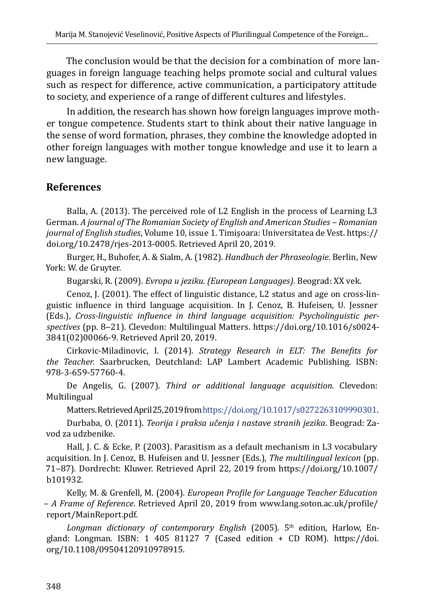The conclusion would be that the decision for a combination of more languages in foreign language teaching helps promote social and cultural values such as respect for difference, active communication, a participatory attitude to society, and experience of a range of different cultures and lifestyles.

In addition, the research has shown how foreign languages improve mother tongue competence. Students start to think about their native language in the sense of word formation, phrases, they combine the knowledge adopted in other foreign languages with mother tongue knowledge and use it to learn a new language.

### **References**

Balla, A. (2013). The perceived role of L2 English in the process of Learning L3 German. A journal of The Romanian Society of English and American Studies - Romanian *journal of English studies*, Volume 10, issue 1. Timişoara: Universitatea de Vest. https:// doi.org/10.2478/rjes-2013-0005. Retrieved April 20, 2019.

Burger, H., Buhofer, A. & Sialm, A. (1982). *Handbuch der Phraseologie*. Berlin, New York: W. de Gruyter.

Bugarski, R. (2009). *Evropa u jeziku. (European Languages)*. Beograd: XX vek.

Cenoz, J. (2001). The effect of linguistic distance, L2 status and age on cross-linguistic influence in third language acquisition. In J. Cenoz, B. Hufeisen, U. Jessner (Eds.), *Cross-linguistic influence in third language acquisition: Psycholinguistic perspectives* (pp. 8‒21). Clevedon: Multilingual Matters. https://doi.org/10.1016/s0024- 3841(02)00066-9. Retrieved April 20, 2019.

Cirkovic-Miladinovic, I. (2014). *Strategy Research in ELT: The Benefits for the Teacher.* Saarbrucken, Deutchland: LAP Lambert Academic Publishing. ISBN: 978-3-659-57760-4.

De Angelis, G. (2007). *Third or additional language acquisition*. Clevedon: Multilingual

Matters. Retrieved April 25, 2019 from<https://doi.org/10.1017/s0272263109990301>.

Durbaba, O. (2011). *Teorija i praksa učenja i nastave stranih jezika*. Beograd: Zavod za udzbenike.

Hall, J. C. & Ecke, P. (2003). Parasitism as a default mechanism in L3 vocabulary acquisition. In J. Cenoz, B. Hufeisen and U. Jessner (Eds.), *The multilingual lexicon* (pp. 71‒87)*.* Dordrecht: Kluwer. Retrieved April 22, 2019 from https://doi.org/10.1007/ b101932.

Kelly, M. & Grenfell, M. (2004). *European Profile for Language Teacher Education ‒ A Frame of Reference*. Retrieved April 20, 2019 from www.lang.soton.ac.uk/profile/ report/MainReport.pdf.

Longman dictionary of contemporary English (2005). 5<sup>th</sup> edition, Harlow, England: Longman. ISBN: 1 405 81127 7 (Cased edition + CD ROM). https://doi. org/10.1108/09504120910978915.